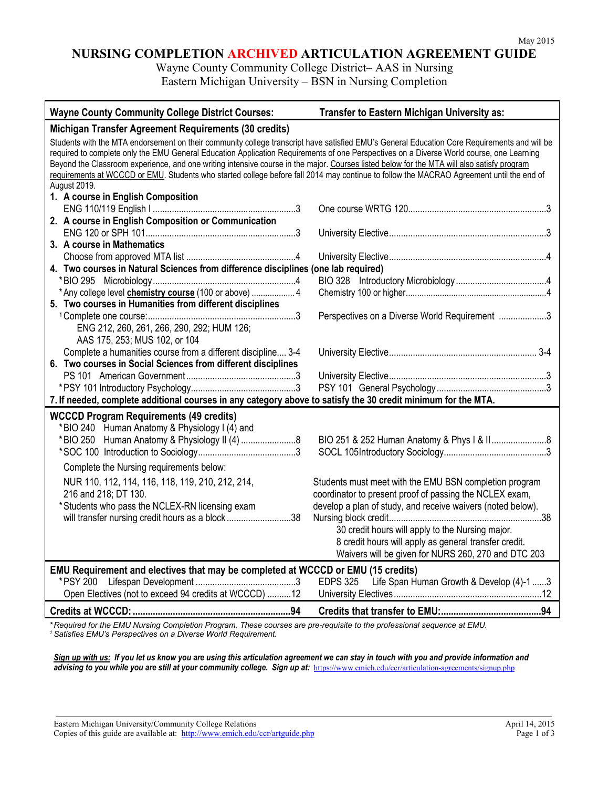## **NURSING COMPLETION ARCHIVED ARTICULATION AGREEMENT GUIDE**

Wayne County Community College District– AAS in Nursing Eastern Michigan University – BSN in Nursing Completion

| <b>Wayne County Community College District Courses:</b>                                                                                                                                                                                                                                                                                                                                                                                                                                                                                                                                            | Transfer to Eastern Michigan University as:                                                                                                                                                                                                                                                                                                          |  |
|----------------------------------------------------------------------------------------------------------------------------------------------------------------------------------------------------------------------------------------------------------------------------------------------------------------------------------------------------------------------------------------------------------------------------------------------------------------------------------------------------------------------------------------------------------------------------------------------------|------------------------------------------------------------------------------------------------------------------------------------------------------------------------------------------------------------------------------------------------------------------------------------------------------------------------------------------------------|--|
| Michigan Transfer Agreement Requirements (30 credits)                                                                                                                                                                                                                                                                                                                                                                                                                                                                                                                                              |                                                                                                                                                                                                                                                                                                                                                      |  |
| Students with the MTA endorsement on their community college transcript have satisfied EMU's General Education Core Requirements and will be<br>required to complete only the EMU General Education Application Requirements of one Perspectives on a Diverse World course, one Learning<br>Beyond the Classroom experience, and one writing intensive course in the major. Courses listed below for the MTA will also satisfy program<br>requirements at WCCCD or EMU. Students who started college before fall 2014 may continue to follow the MACRAO Agreement until the end of<br>August 2019. |                                                                                                                                                                                                                                                                                                                                                      |  |
| 1. A course in English Composition                                                                                                                                                                                                                                                                                                                                                                                                                                                                                                                                                                 |                                                                                                                                                                                                                                                                                                                                                      |  |
|                                                                                                                                                                                                                                                                                                                                                                                                                                                                                                                                                                                                    |                                                                                                                                                                                                                                                                                                                                                      |  |
| 2. A course in English Composition or Communication                                                                                                                                                                                                                                                                                                                                                                                                                                                                                                                                                |                                                                                                                                                                                                                                                                                                                                                      |  |
| 3. A course in Mathematics                                                                                                                                                                                                                                                                                                                                                                                                                                                                                                                                                                         |                                                                                                                                                                                                                                                                                                                                                      |  |
|                                                                                                                                                                                                                                                                                                                                                                                                                                                                                                                                                                                                    |                                                                                                                                                                                                                                                                                                                                                      |  |
| 4. Two courses in Natural Sciences from difference disciplines (one lab required)                                                                                                                                                                                                                                                                                                                                                                                                                                                                                                                  |                                                                                                                                                                                                                                                                                                                                                      |  |
|                                                                                                                                                                                                                                                                                                                                                                                                                                                                                                                                                                                                    |                                                                                                                                                                                                                                                                                                                                                      |  |
| * Any college level <b>chemistry course</b> (100 or above)  4                                                                                                                                                                                                                                                                                                                                                                                                                                                                                                                                      |                                                                                                                                                                                                                                                                                                                                                      |  |
| 5. Two courses in Humanities from different disciplines                                                                                                                                                                                                                                                                                                                                                                                                                                                                                                                                            | Perspectives on a Diverse World Requirement 3                                                                                                                                                                                                                                                                                                        |  |
| ENG 212, 260, 261, 266, 290, 292; HUM 126;<br>AAS 175, 253; MUS 102, or 104                                                                                                                                                                                                                                                                                                                                                                                                                                                                                                                        |                                                                                                                                                                                                                                                                                                                                                      |  |
| Complete a humanities course from a different discipline 3-4                                                                                                                                                                                                                                                                                                                                                                                                                                                                                                                                       |                                                                                                                                                                                                                                                                                                                                                      |  |
| 6. Two courses in Social Sciences from different disciplines                                                                                                                                                                                                                                                                                                                                                                                                                                                                                                                                       |                                                                                                                                                                                                                                                                                                                                                      |  |
|                                                                                                                                                                                                                                                                                                                                                                                                                                                                                                                                                                                                    |                                                                                                                                                                                                                                                                                                                                                      |  |
|                                                                                                                                                                                                                                                                                                                                                                                                                                                                                                                                                                                                    |                                                                                                                                                                                                                                                                                                                                                      |  |
| 7. If needed, complete additional courses in any category above to satisfy the 30 credit minimum for the MTA.                                                                                                                                                                                                                                                                                                                                                                                                                                                                                      |                                                                                                                                                                                                                                                                                                                                                      |  |
| <b>WCCCD Program Requirements (49 credits)</b><br>*BIO 240 Human Anatomy & Physiology I (4) and                                                                                                                                                                                                                                                                                                                                                                                                                                                                                                    | BIO 251 & 252 Human Anatomy & Phys I & II8                                                                                                                                                                                                                                                                                                           |  |
| Complete the Nursing requirements below:                                                                                                                                                                                                                                                                                                                                                                                                                                                                                                                                                           |                                                                                                                                                                                                                                                                                                                                                      |  |
| NUR 110, 112, 114, 116, 118, 119, 210, 212, 214,<br>216 and 218; DT 130.<br>*Students who pass the NCLEX-RN licensing exam<br>will transfer nursing credit hours as a block38                                                                                                                                                                                                                                                                                                                                                                                                                      | Students must meet with the EMU BSN completion program<br>coordinator to present proof of passing the NCLEX exam,<br>develop a plan of study, and receive waivers (noted below).<br>30 credit hours will apply to the Nursing major.<br>8 credit hours will apply as general transfer credit.<br>Waivers will be given for NURS 260, 270 and DTC 203 |  |
| EMU Requirement and electives that may be completed at WCCCD or EMU (15 credits)                                                                                                                                                                                                                                                                                                                                                                                                                                                                                                                   | EDPS 325 Life Span Human Growth & Develop (4)-1 3                                                                                                                                                                                                                                                                                                    |  |
| Open Electives (not to exceed 94 credits at WCCCD) 12                                                                                                                                                                                                                                                                                                                                                                                                                                                                                                                                              |                                                                                                                                                                                                                                                                                                                                                      |  |
|                                                                                                                                                                                                                                                                                                                                                                                                                                                                                                                                                                                                    |                                                                                                                                                                                                                                                                                                                                                      |  |

*\* Required for the EMU Nursing Completion Program. These courses are pre-requisite to the professional sequence at EMU. <sup>1</sup> Satisfies EMU's Perspectives on a Diverse World Requirement.*

*Sign up with us: If you let us know you are using this articulation agreement we can stay in touch with you and provide information and*  advising to you while you are still at your community college. Sign up at: <https://www.emich.edu/ccr/articulation-agreements/signup.php>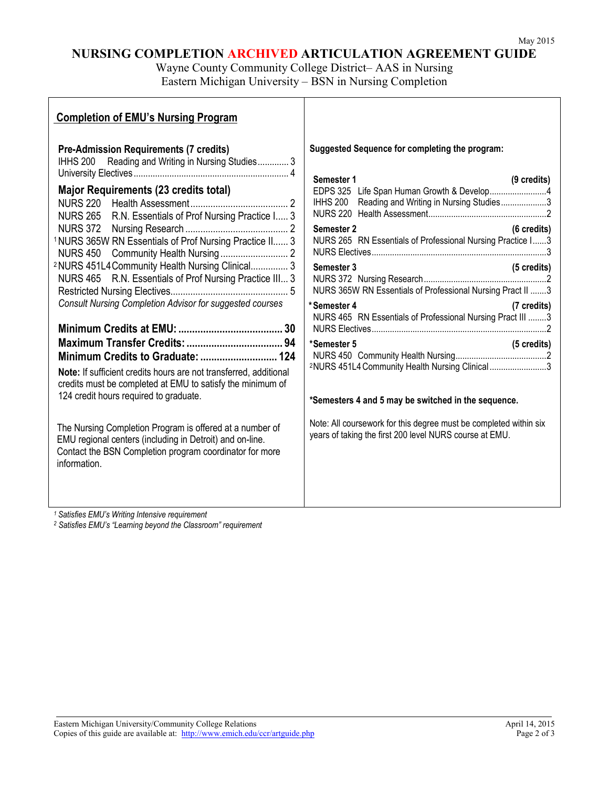## **NURSING COMPLETION ARCHIVED ARTICULATION AGREEMENT GUIDE**

Wayne County Community College District– AAS in Nursing Eastern Michigan University – BSN in Nursing Completion

| Suggested Sequence for completing the program:<br><b>Pre-Admission Requirements (7 credits)</b><br>IHHS 200 Reading and Writing in Nursing Studies 3<br>Semester 1<br>(9 credits)<br>Major Requirements (23 credits total)<br>IHHS 200 Reading and Writing in Nursing Studies3<br>NURS 265 R.N. Essentials of Prof Nursing Practice I 3<br>Semester 2<br>$(6 \text{ credits})$<br><sup>1</sup> NURS 365W RN Essentials of Prof Nursing Practice II 3<br>NURS 265 RN Essentials of Professional Nursing Practice I3<br><sup>2</sup> NURS 451L4 Community Health Nursing Clinical 3<br>(5 credits)<br>Semester 3<br>NURS 465 R.N. Essentials of Prof Nursing Practice III 3<br>NURS 365W RN Essentials of Professional Nursing Pract II 3<br><b>Consult Nursing Completion Advisor for suggested courses</b><br>*Semester 4<br>(7 credits)<br>NURS 465 RN Essentials of Professional Nursing Pract III 3<br>*Semester 5<br>(5 credits)<br>2NURS 451L4 Community Health Nursing Clinical 3<br>Note: If sufficient credits hours are not transferred, additional<br>credits must be completed at EMU to satisfy the minimum of<br>124 credit hours required to graduate.<br>*Semesters 4 and 5 may be switched in the sequence.<br>Note: All coursework for this degree must be completed within six<br>The Nursing Completion Program is offered at a number of<br>years of taking the first 200 level NURS course at EMU.<br>EMU regional centers (including in Detroit) and on-line.<br>Contact the BSN Completion program coordinator for more<br>information. | <b>Completion of EMU's Nursing Program</b> |  |
|----------------------------------------------------------------------------------------------------------------------------------------------------------------------------------------------------------------------------------------------------------------------------------------------------------------------------------------------------------------------------------------------------------------------------------------------------------------------------------------------------------------------------------------------------------------------------------------------------------------------------------------------------------------------------------------------------------------------------------------------------------------------------------------------------------------------------------------------------------------------------------------------------------------------------------------------------------------------------------------------------------------------------------------------------------------------------------------------------------------------------------------------------------------------------------------------------------------------------------------------------------------------------------------------------------------------------------------------------------------------------------------------------------------------------------------------------------------------------------------------------------------------------------------------------------------|--------------------------------------------|--|
|                                                                                                                                                                                                                                                                                                                                                                                                                                                                                                                                                                                                                                                                                                                                                                                                                                                                                                                                                                                                                                                                                                                                                                                                                                                                                                                                                                                                                                                                                                                                                                |                                            |  |

*<sup>1</sup> Satisfies EMU's Writing Intensive requirement*

*<sup>2</sup> Satisfies EMU's "Learning beyond the Classroom" requirement*